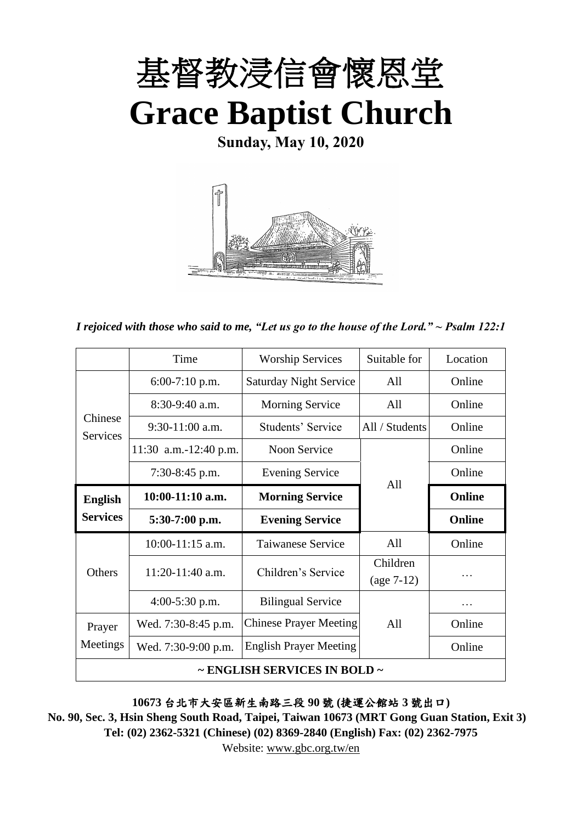

**Sunday, May 10, 2020**



*I rejoiced with those who said to me, "Let us go to the house of the Lord." ~ Psalm 122:1*

|                                   | Time                  | <b>Worship Services</b>       | Suitable for   | Location      |  |
|-----------------------------------|-----------------------|-------------------------------|----------------|---------------|--|
| Chinese<br><b>Services</b>        | $6:00-7:10$ p.m.      | <b>Saturday Night Service</b> | All            | Online        |  |
|                                   | $8:30-9:40$ a.m.      | <b>Morning Service</b>        | All            | Online        |  |
|                                   | $9:30-11:00$ a.m.     | Students' Service             | All / Students | Online        |  |
|                                   | 11:30 a.m.-12:40 p.m. | Noon Service                  |                | Online        |  |
|                                   | $7:30-8:45$ p.m.      | <b>Evening Service</b>        |                | Online        |  |
| <b>English</b><br><b>Services</b> | $10:00-11:10$ a.m.    | <b>Morning Service</b>        | A11            | Online        |  |
|                                   | $5:30-7:00$ p.m.      | <b>Evening Service</b>        |                | <b>Online</b> |  |
| <b>Others</b>                     | $10:00-11:15$ a.m.    | Taiwanese Service             | All            | Online        |  |
|                                   | $11:20-11:40$ a.m.    | Children's Service            | Children       |               |  |
|                                   |                       |                               | $(age 7-12)$   |               |  |
|                                   | $4:00-5:30$ p.m.      | <b>Bilingual Service</b>      |                |               |  |
| Prayer                            | Wed. 7:30-8:45 p.m.   | <b>Chinese Prayer Meeting</b> | All            | Online        |  |
| Meetings                          | Wed. 7:30-9:00 p.m.   | <b>English Prayer Meeting</b> |                | Online        |  |
| ~ ENGLISH SERVICES IN BOLD ~      |                       |                               |                |               |  |

**10673** 台北市大安區新生南路三段 **90** 號 **(**捷運公館站 **3** 號出口**)**

**No. 90, Sec. 3, Hsin Sheng South Road, Taipei, Taiwan 10673 (MRT Gong Guan Station, Exit 3) Tel: (02) 2362-5321 (Chinese) (02) 8369-2840 (English) Fax: (02) 2362-7975**

Website: [www.gbc.org.tw/en](http://www.gbc.org.tw/en)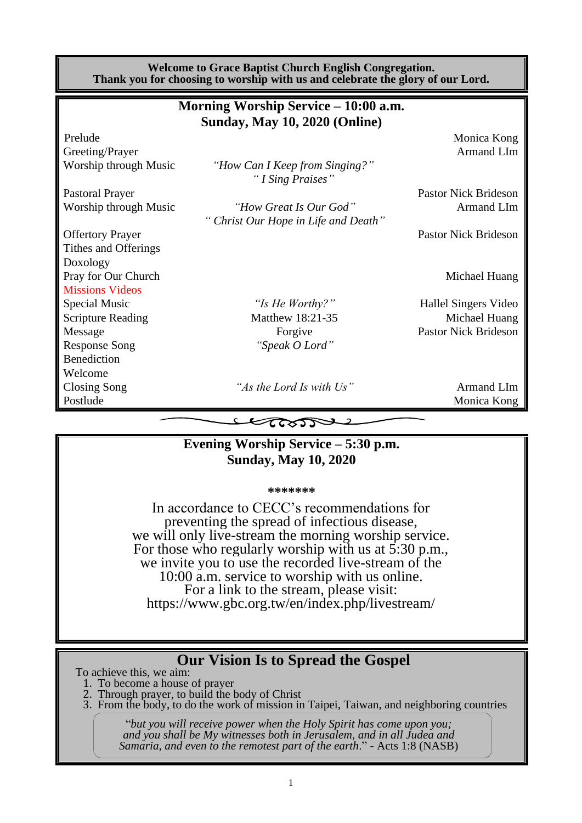**Welcome to Grace Baptist Church English Congregation. Thank you for choosing to worship with us and celebrate the glory of our Lord. Morning Worship Service – 10:00 a.m.**

| $\mu$ intorning worship service $-$ 10:00 a.m. |                                      |                             |  |  |  |  |
|------------------------------------------------|--------------------------------------|-----------------------------|--|--|--|--|
|                                                | <b>Sunday, May 10, 2020 (Online)</b> |                             |  |  |  |  |
| Prelude                                        |                                      | Monica Kong                 |  |  |  |  |
| Greeting/Prayer                                |                                      | <b>Armand LIm</b>           |  |  |  |  |
| Worship through Music                          | "How Can I Keep from Singing?"       |                             |  |  |  |  |
|                                                | "I Sing Praises"                     |                             |  |  |  |  |
| <b>Pastoral Prayer</b>                         |                                      | <b>Pastor Nick Brideson</b> |  |  |  |  |
| Worship through Music                          | "How Great Is Our God"               | Armand LIm                  |  |  |  |  |
|                                                | " Christ Our Hope in Life and Death" |                             |  |  |  |  |
| <b>Offertory Prayer</b>                        |                                      | <b>Pastor Nick Brideson</b> |  |  |  |  |
| Tithes and Offerings                           |                                      |                             |  |  |  |  |
| Doxology                                       |                                      |                             |  |  |  |  |
| Pray for Our Church                            |                                      | Michael Huang               |  |  |  |  |
| <b>Missions Videos</b>                         |                                      |                             |  |  |  |  |
| Special Music                                  | "Is He Worthy?"                      | Hallel Singers Video        |  |  |  |  |
| <b>Scripture Reading</b>                       | Matthew 18:21-35                     | Michael Huang               |  |  |  |  |
| Message                                        | Forgive                              | <b>Pastor Nick Brideson</b> |  |  |  |  |
| <b>Response Song</b>                           | "Speak O Lord"                       |                             |  |  |  |  |
| Benediction                                    |                                      |                             |  |  |  |  |
| Welcome                                        |                                      |                             |  |  |  |  |
| <b>Closing Song</b>                            | "As the Lord Is with Us"             | Armand LIm                  |  |  |  |  |
| Postlude                                       |                                      | Monica Kong                 |  |  |  |  |
|                                                | $\sim$                               |                             |  |  |  |  |

## **Evening Worship Service – 5:30 p.m. Sunday, May 10, 2020**

**\*\*\*\*\*\*\***

In accordance to CECC's recommendations for preventing the spread of infectious disease, we will only live-stream the morning worship service. For those who regularly worship with us at 5:30 p.m., we invite you to use the recorded live-stream of the 10:00 a.m. service to worship with us online. For a link to the stream, please visit: https://www.gbc.org.tw/en/index.php/livestream/

## **Our Vision Is to Spread the Gospel**

To achieve this, we aim:

1. To become a house of prayer

2. Through prayer, to build the body of Christ

3. From the body, to do the work of mission in Taipei, Taiwan, and neighboring countries

"*but you will receive power when the Holy Spirit has come upon you; and you shall be My witnesses both in Jerusalem, and in all Judea and Samaria, and even to the remotest part of the earth*." - Acts 1:8 (NASB)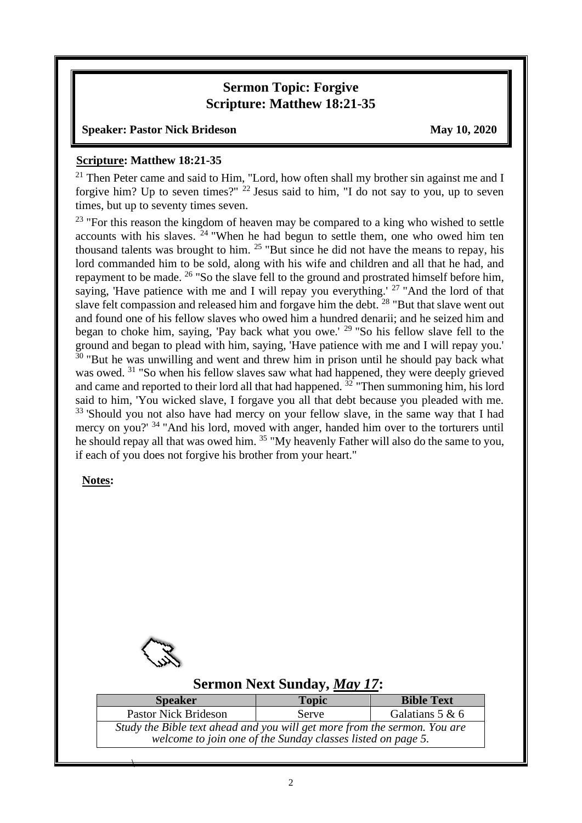### **Sermon Topic: Forgive Scripture: Matthew 18:21-35**

#### **Speaker: Pastor Nick Brideson May 10, 2020**

#### **Scripture: Matthew 18:21-35**

 $21$  Then Peter came and said to Him, "Lord, how often shall my brother sin against me and I forgive him? Up to seven times?"  $^{22}$  Jesus said to him, "I do not say to you, up to seven times, but up to seventy times seven.

<sup>23</sup> "For this reason the kingdom of heaven may be compared to a king who wished to settle accounts with his slaves.  $24$  "When he had begun to settle them, one who owed him ten thousand talents was brought to him. <sup>25</sup> "But since he did not have the means to repay, his lord commanded him to be sold, along with his wife and children and all that he had, and repayment to be made. <sup>26</sup> "So the slave fell to the ground and prostrated himself before him, saying, 'Have patience with me and I will repay you everything.' <sup>27</sup> "And the lord of that slave felt compassion and released him and forgave him the debt. <sup>28</sup> "But that slave went out and found one of his fellow slaves who owed him a hundred denarii; and he seized him and began to choke him, saying, 'Pay back what you owe.' <sup>29</sup> "So his fellow slave fell to the ground and began to plead with him, saying, 'Have patience with me and I will repay you.'  $30$  "But he was unwilling and went and threw him in prison until he should pay back what was owed. <sup>31</sup> "So when his fellow slaves saw what had happened, they were deeply grieved and came and reported to their lord all that had happened.  $32$  "Then summoning him, his lord said to him, 'You wicked slave, I forgave you all that debt because you pleaded with me. <sup>33</sup> 'Should you not also have had mercy on your fellow slave, in the same way that I had mercy on you?' <sup>34</sup> "And his lord, moved with anger, handed him over to the torturers until he should repay all that was owed him. <sup>35</sup> "My heavenly Father will also do the same to you, if each of you does not forgive his brother from your heart."

### **Notes:**



 $\overline{\phantom{a}}$ 

### **Sermon Next Sunday,** *May 17***:**

| <b>Speaker</b>                                                            | <b>Topic</b> | <b>Bible Text</b> |  |  |  |  |
|---------------------------------------------------------------------------|--------------|-------------------|--|--|--|--|
| <b>Pastor Nick Brideson</b><br>Galatians $5 & 6$<br><b>Serve</b>          |              |                   |  |  |  |  |
| Study the Bible text ahead and you will get more from the sermon. You are |              |                   |  |  |  |  |
| welcome to join one of the Sunday classes listed on page 5.               |              |                   |  |  |  |  |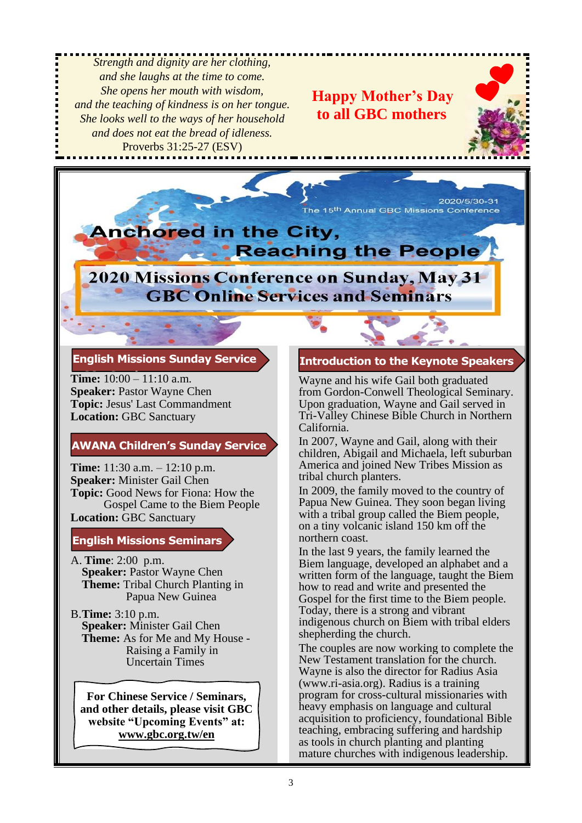*Strength and dignity are her clothing, and she laughs at the time to come. She opens her mouth with wisdom, and the teaching of kindness is on her tongue. She looks well to the ways of her household and does not eat the bread of idleness.* Proverbs 31:25-27 (ESV)

**Happy Mother's Day to all GBC mothers**



2020/5/30-31 The 15<sup>th</sup> Annual GBC Missions Conference



# 2020 Missions Conference on Sunday, May 31 **GBC Online Services and Seminars**

#### **English Missions Sunday Service**

**Time:** 10:00 – 11:10 a.m. **Speaker:** Pastor Wayne Chen **Topic:** Jesus' Last Commandment **Location:** GBC Sanctuary

### **AWANA Children's Sunday Service**

**Time:** 11:30 a.m. – 12:10 p.m. **Speaker:** Minister Gail Chen **Topic:** Good News for Fiona: How the Gospel Came to the Biem People **Location:** GBC Sanctuary

#### **English Missions Seminars**

- A. **Time**: 2:00 p.m. **Speaker:** Pastor Wayne Chen **Theme:** Tribal Church Planting in Papua New Guinea
- B.**Time:** 3:10 p.m. **Speaker:** Minister Gail Chen **Theme:** As for Me and My House - Raising a Family in Uncertain Times

**For Chinese Service / Seminars, and other details, please visit GBC website "Upcoming Events" at: www.gbc.org.tw/en**

### **Introduction to the Keynote Speakers**

Wayne and his wife Gail both graduated from Gordon-Conwell Theological Seminary. Upon graduation, Wayne and Gail served in Tri-Valley Chinese Bible Church in Northern California.

In 2007, Wayne and Gail, along with their children, Abigail and Michaela, left suburban America and joined New Tribes Mission as tribal church planters.

In 2009, the family moved to the country of Papua New Guinea. They soon began living with a tribal group called the Biem people, on a tiny volcanic island 150 km off the northern coast.

In the last 9 years, the family learned the Biem language, developed an alphabet and a written form of the language, taught the Biem how to read and write and presented the Gospel for the first time to the Biem people. Today, there is a strong and vibrant indigenous church on Biem with tribal elders shepherding the church.

The couples are now working to complete the New Testament translation for the church. Wayne is also the director for Radius Asia (www.ri-asia.org). Radius is a training program for cross-cultural missionaries with heavy emphasis on language and cultural acquisition to proficiency, foundational Bible teaching, embracing suffering and hardship as tools in church planting and planting mature churches with indigenous leadership.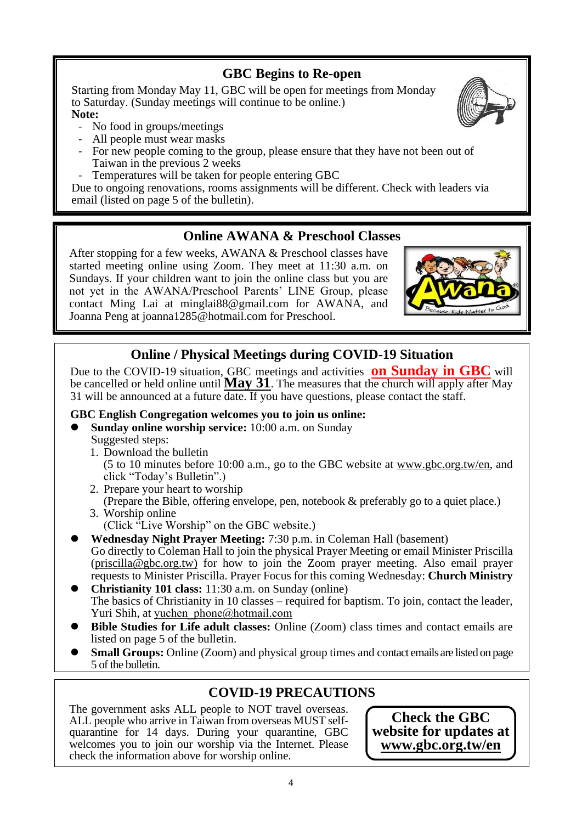## **GBC Begins to Re-open**

Starting from Monday May 11, GBC will be open for meetings from Monday to Saturday. (Sunday meetings will continue to be online.)

**Note:**

- No food in groups/meetings
- All people must wear masks
- For new people coming to the group, please ensure that they have not been out of Taiwan in the previous 2 weeks
- Temperatures will be taken for people entering GBC

Due to ongoing renovations, rooms assignments will be different. Check with leaders via email (listed on page 5 of the bulletin).

## **Online AWANA & Preschool Classes**

After stopping for a few weeks, AWANA & Preschool classes have started meeting online using Zoom. They meet at 11:30 a.m. on Sundays. If your children want to join the online class but you are not yet in the AWANA/Preschool Parents' LINE Group, please contact Ming Lai at minglai88@gmail.com for AWANA, and Joanna Peng at joanna1285@hotmail.com for Preschool.



## **Online / Physical Meetings during COVID-19 Situation**

Due to the COVID-19 situation, GBC meetings and activities **on Sunday in GBC** will be cancelled or held online until **May 31**. The measures that the church will apply after May 31 will be announced at a future date. If you have questions, please contact the staff.

### **GBC English Congregation welcomes you to join us online:**

- ⚫ **Sunday online worship service:** 10:00 a.m. on Sunday Suggested steps:
	- 1. Download the bulletin
		- (5 to 10 minutes before 10:00 a.m., go to the GBC website at www.gbc.org.tw/en, and click "Today's Bulletin".)
	- 2. Prepare your heart to worship
	- (Prepare the Bible, offering envelope, pen, notebook & preferably go to a quiet place.) 3. Worship online
		- (Click "Live Worship" on the GBC website.)
- ⚫ **Wednesday Night Prayer Meeting:** 7:30 p.m. in Coleman Hall (basement) Go directly to Coleman Hall to join the physical Prayer Meeting or email Minister Priscilla [\(priscilla@gbc.org.tw\)](mailto:priscilla@gbc.org.tw) for how to join the Zoom prayer meeting. Also email prayer requests to Minister Priscilla. Prayer Focus for this coming Wednesday: **Church Ministry**
- ⚫ **Christianity 101 class:** 11:30 a.m. on Sunday (online) The basics of Christianity in 10 classes – required for baptism. To join, contact the leader, Yuri Shih, at yuchen phone@hotmail.com
- ⚫ **Bible Studies for Life adult classes:** Online (Zoom) class times and contact emails are listed on page 5 of the bulletin.
- Small Groups: Online (Zoom) and physical group times and contact emails are listed on page 5 of the bulletin.

## **COVID-19 PRECAUTIONS**

The government asks ALL people to NOT travel overseas. ALL people who arrive in Taiwan from overseas MUST selfquarantine for 14 days. During your quarantine, GBC welcomes you to join our worship via the Internet. Please check the information above for worship online.

**Check the GBC website for updates at [www.gbc.org.tw/en](http://www.gbc.org.tw/en)**

4

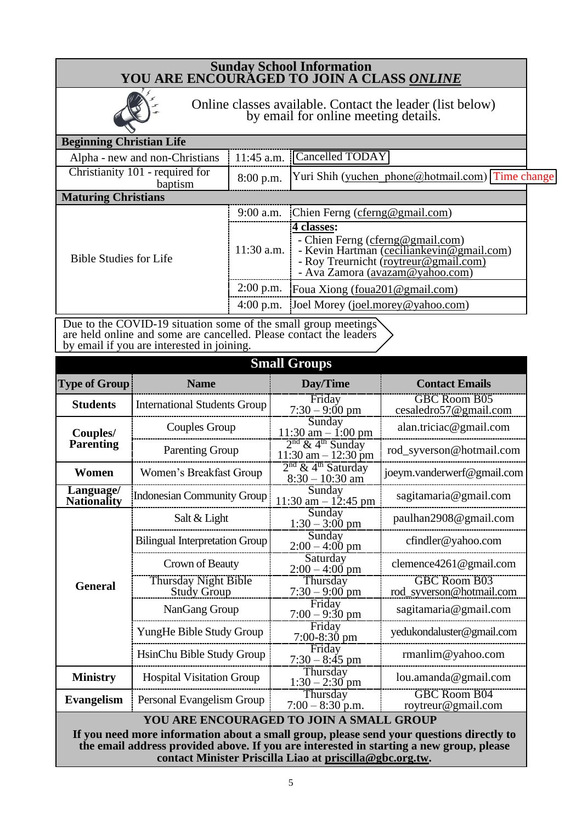### **Sunday School Information YOU ARE ENCOURAGED TO JOIN A CLASS** *ONLINE*



Online classes available. Contact the leader (list below) by email for online meeting details.

#### **Beginning Christian Life**

| Alpha - new and non-Christians             |             | $11:45$ a.m. Cancelled TODAY                       |  |
|--------------------------------------------|-------------|----------------------------------------------------|--|
| Christianity 101 - required for<br>baptısm | $8:00$ p.m. | [Yuri Shih (yuchen phone@hotmail.com)] Time change |  |
| <b>Maturing Christians</b>                 |             |                                                    |  |

| <b>EVIRTHING CHILDURING</b>   |              |                                                                                                                                                                              |  |  |  |  |
|-------------------------------|--------------|------------------------------------------------------------------------------------------------------------------------------------------------------------------------------|--|--|--|--|
| <b>Bible Studies for Life</b> |              | 9:00 a.m. Chien Ferng (cferng@gmail.com)                                                                                                                                     |  |  |  |  |
|                               | $11:30$ a.m. | 4 classes:<br>- Chien Ferng (cferng@gmail.com)<br>- Kevin Hartman (cecilian kevin $@$ gmail.com)<br>- Roy Treurnicht (roytreur@gmail.com)<br>- Ava Zamora (avazam@yahoo.com) |  |  |  |  |
|                               |              | 2:00 p.m. Foua Xiong $(foua201@gmail.com)$                                                                                                                                   |  |  |  |  |
|                               |              | 4:00 p.m. Joel Morey (joel.morey@yahoo.com)                                                                                                                                  |  |  |  |  |

Due to the COVID-19 situation some of the small group meetings are held online and some are cancelled. Please contact the leaders by email if you are interested in joining.

| <b>Small Groups</b>                                                                                                                                                                 |                                                   |                                                          |                                                 |  |  |  |
|-------------------------------------------------------------------------------------------------------------------------------------------------------------------------------------|---------------------------------------------------|----------------------------------------------------------|-------------------------------------------------|--|--|--|
| <b>Type of Group</b>                                                                                                                                                                | <b>Name</b>                                       | Day/Time                                                 | <b>Contact Emails</b>                           |  |  |  |
| <b>Students</b>                                                                                                                                                                     | <b>International Students Group</b>               | Friday<br>$7:30 - 9:00 \text{ pm}$                       | <b>GBC Room B05</b><br>cesaledro57@gmail.com    |  |  |  |
| Couples/<br><b>Parenting</b>                                                                                                                                                        | Couples Group                                     | Sunday<br>$11:30$ am $-1:00$ pm                          | alan.triciac@gmail.com                          |  |  |  |
|                                                                                                                                                                                     | <b>Parenting Group</b>                            | $2nd$ & 4 <sup>th</sup> Sunday<br>$11:30$ am $-12:30$ pm | rod_syverson@hotmail.com                        |  |  |  |
| Women                                                                                                                                                                               | Women's Breakfast Group                           | $2nd$ & 4 <sup>th</sup> Saturday<br>$8:30 - 10:30$ am    | joeym.vanderwerf@gmail.com                      |  |  |  |
| Language/<br><b>Indonesian Community Group</b><br><b>Nationality</b>                                                                                                                |                                                   | Sunday<br>$11:30$ am $-12:45$ pm                         | sagitamaria@gmail.com                           |  |  |  |
|                                                                                                                                                                                     | Salt & Light                                      | Sunday<br>$1:30 - 3:00 \text{ pm}$                       | paulhan2908@gmail.com                           |  |  |  |
|                                                                                                                                                                                     | <b>Bilingual Interpretation Group</b>             | Sunday<br>$2:00 - 4:00$ pm                               | cfindler@yahoo.com                              |  |  |  |
|                                                                                                                                                                                     | Crown of Beauty                                   | Saturday<br>$2:00 - 4:00$ pm                             | clemence4261@gmail.com                          |  |  |  |
| <b>General</b>                                                                                                                                                                      | <b>Thursday Night Bible</b><br><b>Study Group</b> | Thursday<br>$7:30 - 9:00$ pm                             | <b>GBC Room B03</b><br>rod_syverson@hotmail.com |  |  |  |
|                                                                                                                                                                                     | NanGang Group                                     | Friday<br>$7:00 - 9:30$ pm                               | sagitamaria@gmail.com                           |  |  |  |
|                                                                                                                                                                                     | YungHe Bible Study Group                          | Friday<br>$7:00-8:30$ pm                                 | yedukondaluster@gmail.com                       |  |  |  |
|                                                                                                                                                                                     | HsinChu Bible Study Group                         | Friday<br>$7:30 - 8:45$ pm                               | $r$ manlim@yahoo.com                            |  |  |  |
| <b>Ministry</b>                                                                                                                                                                     | <b>Hospital Visitation Group</b>                  | Thursday<br>$1:30 - 2:30$ pm                             | lou. amanda@gmail.com                           |  |  |  |
| <b>Evangelism</b><br>Personal Evangelism Group                                                                                                                                      |                                                   | Thursday<br>$7:00 - 8:30$ p.m.                           | <b>GBC Room B04</b><br>roytreur@gmail.com       |  |  |  |
| YOU ARE ENCOURAGED TO JOIN A SMALL GROUP                                                                                                                                            |                                                   |                                                          |                                                 |  |  |  |
| If you need more information about a small group, please send your questions directly to<br>the email address provided above. If you are interested in starting a new group, please |                                                   |                                                          |                                                 |  |  |  |
| contact Minister Priscilla Liao at priscilla@gbc.org.tw.                                                                                                                            |                                                   |                                                          |                                                 |  |  |  |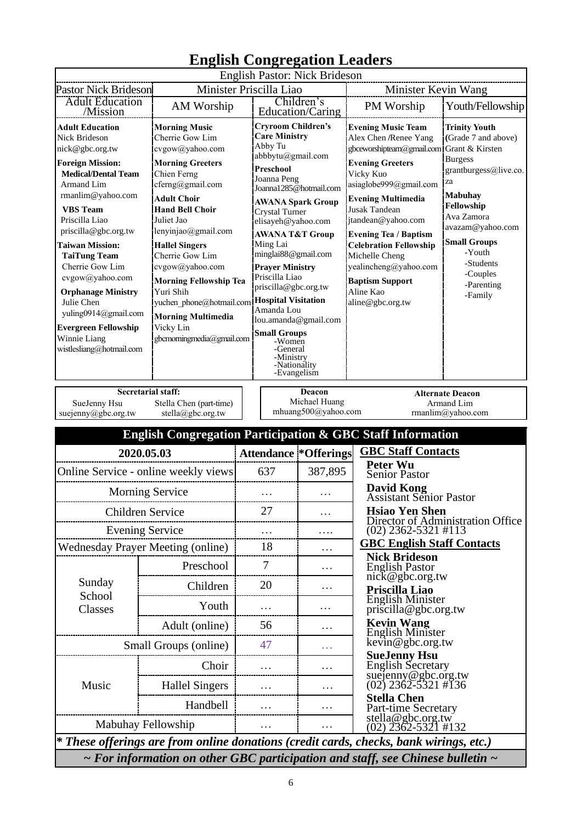|                                                                                                                                                                                                                                                                                                                                                                                                                                                                                                                                                                                                                                                                                                                                                                                                                                                                                                                                                                                                                                                                                                                                                                                                                                                                                                                                                                                      | <b>English Congregation Leaders</b>                                                      |                                       |                                                                  |                                                                                                                                                                                                                                                                                                                                 |                                                                                                                                                                                                                                                                      |                                                     |                                   |
|--------------------------------------------------------------------------------------------------------------------------------------------------------------------------------------------------------------------------------------------------------------------------------------------------------------------------------------------------------------------------------------------------------------------------------------------------------------------------------------------------------------------------------------------------------------------------------------------------------------------------------------------------------------------------------------------------------------------------------------------------------------------------------------------------------------------------------------------------------------------------------------------------------------------------------------------------------------------------------------------------------------------------------------------------------------------------------------------------------------------------------------------------------------------------------------------------------------------------------------------------------------------------------------------------------------------------------------------------------------------------------------|------------------------------------------------------------------------------------------|---------------------------------------|------------------------------------------------------------------|---------------------------------------------------------------------------------------------------------------------------------------------------------------------------------------------------------------------------------------------------------------------------------------------------------------------------------|----------------------------------------------------------------------------------------------------------------------------------------------------------------------------------------------------------------------------------------------------------------------|-----------------------------------------------------|-----------------------------------|
|                                                                                                                                                                                                                                                                                                                                                                                                                                                                                                                                                                                                                                                                                                                                                                                                                                                                                                                                                                                                                                                                                                                                                                                                                                                                                                                                                                                      |                                                                                          |                                       |                                                                  | English Pastor: Nick Brideson                                                                                                                                                                                                                                                                                                   |                                                                                                                                                                                                                                                                      |                                                     |                                   |
| <b>Pastor Nick Brideson</b><br><b>Adult Education</b>                                                                                                                                                                                                                                                                                                                                                                                                                                                                                                                                                                                                                                                                                                                                                                                                                                                                                                                                                                                                                                                                                                                                                                                                                                                                                                                                |                                                                                          | Minister Priscilla Liao<br>Children's |                                                                  | Minister Kevin Wang                                                                                                                                                                                                                                                                                                             |                                                                                                                                                                                                                                                                      |                                                     |                                   |
| /Mission                                                                                                                                                                                                                                                                                                                                                                                                                                                                                                                                                                                                                                                                                                                                                                                                                                                                                                                                                                                                                                                                                                                                                                                                                                                                                                                                                                             | AM Worship                                                                               |                                       | Education/Caring                                                 |                                                                                                                                                                                                                                                                                                                                 |                                                                                                                                                                                                                                                                      | PM Worship                                          | Youth/Fellowship                  |
| <b>Cryroom Children's</b><br><b>Adult Education</b><br><b>Morning Music</b><br><b>Care Ministry</b><br>Nick Brideson<br>Cherrie Gow Lim<br>Abby Tu<br>nick@gbc.org.tw<br>cvgow@yahoo.com<br>abbbytu@gmail.com<br><b>Foreign Mission:</b><br><b>Morning Greeters</b><br>Preschool<br><b>Medical/Dental Team</b><br>Chien Ferng<br>Joanna Peng<br>cferng@gmail.com<br>Armand Lim<br>Joanna1285@hotmail.com<br>rmanlim@yahoo.com<br><b>Adult Choir</b><br><b>AWANA Spark Group</b><br><b>VBS</b> Team<br><b>Hand Bell Choir</b><br>Crystal Turner<br>Priscilla Liao<br>Juliet Jao<br>elisayeh@yahoo.com<br>priscilla@gbc.org.tw<br>lenyinjao@gmail.com<br><b>AWANA T&amp;T Group</b><br>Ming Lai<br>Taiwan Mission:<br><b>Hallel Singers</b><br>minglai88@gmail.com<br>Cherrie Gow Lim<br><b>TaiTung Team</b><br>Cherrie Gow Lim<br>cvgow@yahoo.com<br><b>Prayer Ministry</b><br>Priscilla Liao<br>cvgow@yahoo.com<br><b>Morning Fellowship Tea</b><br>priscilla@gbc.org.tw<br><b>Orphanage Ministry</b><br>Yuri Shih<br><b>Hospital Visitation</b><br>Julie Chen<br>yuchen phone@hotmail.com<br>Amanda Lou<br>yuling0914@gmail.com<br><b>Morning Multimedia</b><br>lou.amanda@gmail.com<br>Vicky Lin<br><b>Evergreen Fellowship</b><br><b>Small Groups</b><br>Winnie Liang<br>gbcmorningmedia@gmail.com<br>-Women<br>wistlesliang@hotmail.com<br>-General<br>-Ministry<br>-Nationality |                                                                                          | -Evangelism                           | Vicky Kuo<br><b>Jusak Tandean</b><br>Michelle Cheng<br>Aline Kao | <b>Evening Music Team</b><br>Alex Chen /Renee Yang<br>gbceworshipteam@gmail.com<br><b>Evening Greeters</b><br>asiaglobe999@gmail.com<br><b>Evening Multimedia</b><br>jtandean@yahoo.com<br><b>Evening Tea / Baptism</b><br><b>Celebration Fellowship</b><br>yealincheng@yahoo.com<br><b>Baptism Support</b><br>aline@gbc.org.tw | <b>Trinity Youth</b><br>(Grade 7 and above)<br>Grant & Kirsten<br><b>Burgess</b><br>grantburgess@live.co.<br>za<br><b>Mabuhay</b><br>Fellowship<br>Ava Zamora<br>avazam@yahoo.com<br><b>Small Groups</b><br>-Youth<br>-Students<br>-Couples<br>-Parenting<br>-Family |                                                     |                                   |
| <b>Secretarial staff:</b>                                                                                                                                                                                                                                                                                                                                                                                                                                                                                                                                                                                                                                                                                                                                                                                                                                                                                                                                                                                                                                                                                                                                                                                                                                                                                                                                                            |                                                                                          |                                       |                                                                  | Deacon                                                                                                                                                                                                                                                                                                                          |                                                                                                                                                                                                                                                                      |                                                     | <b>Alternate Deacon</b>           |
| SueJenny Hsu                                                                                                                                                                                                                                                                                                                                                                                                                                                                                                                                                                                                                                                                                                                                                                                                                                                                                                                                                                                                                                                                                                                                                                                                                                                                                                                                                                         | Stella Chen (part-time)                                                                  |                                       |                                                                  | Michael Huang                                                                                                                                                                                                                                                                                                                   |                                                                                                                                                                                                                                                                      |                                                     | Armand Lim                        |
| suejenny@gbc.org.tw                                                                                                                                                                                                                                                                                                                                                                                                                                                                                                                                                                                                                                                                                                                                                                                                                                                                                                                                                                                                                                                                                                                                                                                                                                                                                                                                                                  | stella@gbc.org.tw                                                                        |                                       |                                                                  | mhuang500@yahoo.com                                                                                                                                                                                                                                                                                                             |                                                                                                                                                                                                                                                                      |                                                     | rmanlim@yahoo.com                 |
|                                                                                                                                                                                                                                                                                                                                                                                                                                                                                                                                                                                                                                                                                                                                                                                                                                                                                                                                                                                                                                                                                                                                                                                                                                                                                                                                                                                      | <b>English Congregation Participation &amp; GBC Staff Information</b>                    |                                       |                                                                  |                                                                                                                                                                                                                                                                                                                                 |                                                                                                                                                                                                                                                                      |                                                     |                                   |
| 2020.05.03                                                                                                                                                                                                                                                                                                                                                                                                                                                                                                                                                                                                                                                                                                                                                                                                                                                                                                                                                                                                                                                                                                                                                                                                                                                                                                                                                                           |                                                                                          |                                       | <b>Attendance *Offerings</b>                                     |                                                                                                                                                                                                                                                                                                                                 | <b>GBC Staff Contacts</b><br><b>Peter Wu</b>                                                                                                                                                                                                                         |                                                     |                                   |
| Online Service - online weekly views                                                                                                                                                                                                                                                                                                                                                                                                                                                                                                                                                                                                                                                                                                                                                                                                                                                                                                                                                                                                                                                                                                                                                                                                                                                                                                                                                 |                                                                                          |                                       | 637                                                              | 387,895                                                                                                                                                                                                                                                                                                                         |                                                                                                                                                                                                                                                                      | <b>Senior Pastor</b>                                |                                   |
|                                                                                                                                                                                                                                                                                                                                                                                                                                                                                                                                                                                                                                                                                                                                                                                                                                                                                                                                                                                                                                                                                                                                                                                                                                                                                                                                                                                      | <b>Morning Service</b>                                                                   |                                       | $\cdots$                                                         |                                                                                                                                                                                                                                                                                                                                 |                                                                                                                                                                                                                                                                      | <b>David Kong</b><br><b>Assistant Senior Pastor</b> |                                   |
| Children Service                                                                                                                                                                                                                                                                                                                                                                                                                                                                                                                                                                                                                                                                                                                                                                                                                                                                                                                                                                                                                                                                                                                                                                                                                                                                                                                                                                     |                                                                                          |                                       | 27                                                               | .                                                                                                                                                                                                                                                                                                                               |                                                                                                                                                                                                                                                                      | <b>Hsiao Yen Shen</b>                               |                                   |
| <b>Evening Service</b>                                                                                                                                                                                                                                                                                                                                                                                                                                                                                                                                                                                                                                                                                                                                                                                                                                                                                                                                                                                                                                                                                                                                                                                                                                                                                                                                                               |                                                                                          |                                       |                                                                  | .                                                                                                                                                                                                                                                                                                                               |                                                                                                                                                                                                                                                                      | $(02)$ 2362-5321 #113                               | Director of Administration Office |
| <b>Wednesday Prayer Meeting (online)</b>                                                                                                                                                                                                                                                                                                                                                                                                                                                                                                                                                                                                                                                                                                                                                                                                                                                                                                                                                                                                                                                                                                                                                                                                                                                                                                                                             |                                                                                          |                                       | 18                                                               | $\cdots$                                                                                                                                                                                                                                                                                                                        |                                                                                                                                                                                                                                                                      | <b>GBC English Staff Contacts</b>                   |                                   |
|                                                                                                                                                                                                                                                                                                                                                                                                                                                                                                                                                                                                                                                                                                                                                                                                                                                                                                                                                                                                                                                                                                                                                                                                                                                                                                                                                                                      | Preschool                                                                                |                                       | 7                                                                | .                                                                                                                                                                                                                                                                                                                               |                                                                                                                                                                                                                                                                      | <b>Nick Brideson</b><br><b>English Pastor</b>       |                                   |
| Sunday                                                                                                                                                                                                                                                                                                                                                                                                                                                                                                                                                                                                                                                                                                                                                                                                                                                                                                                                                                                                                                                                                                                                                                                                                                                                                                                                                                               | Children                                                                                 |                                       | 20                                                               | .                                                                                                                                                                                                                                                                                                                               |                                                                                                                                                                                                                                                                      | nick@gbc.org.tw<br>Priscilla Liao                   |                                   |
| School<br>Classes                                                                                                                                                                                                                                                                                                                                                                                                                                                                                                                                                                                                                                                                                                                                                                                                                                                                                                                                                                                                                                                                                                                                                                                                                                                                                                                                                                    | Youth                                                                                    |                                       | .                                                                | .                                                                                                                                                                                                                                                                                                                               |                                                                                                                                                                                                                                                                      | <b>English Minister</b>                             |                                   |
|                                                                                                                                                                                                                                                                                                                                                                                                                                                                                                                                                                                                                                                                                                                                                                                                                                                                                                                                                                                                                                                                                                                                                                                                                                                                                                                                                                                      | Adult (online)                                                                           |                                       | 56                                                               | .                                                                                                                                                                                                                                                                                                                               | priscilla@gbc.org.tw<br><b>Kevin Wang</b>                                                                                                                                                                                                                            |                                                     |                                   |
| Small Groups (online)                                                                                                                                                                                                                                                                                                                                                                                                                                                                                                                                                                                                                                                                                                                                                                                                                                                                                                                                                                                                                                                                                                                                                                                                                                                                                                                                                                |                                                                                          |                                       | 47                                                               |                                                                                                                                                                                                                                                                                                                                 | <b>English Minister</b><br>kevin@gbc.org.tw                                                                                                                                                                                                                          |                                                     |                                   |
|                                                                                                                                                                                                                                                                                                                                                                                                                                                                                                                                                                                                                                                                                                                                                                                                                                                                                                                                                                                                                                                                                                                                                                                                                                                                                                                                                                                      | Choir                                                                                    |                                       |                                                                  | .                                                                                                                                                                                                                                                                                                                               |                                                                                                                                                                                                                                                                      | <b>SueJenny Hsu</b><br><b>English Secretary</b>     |                                   |
| Music                                                                                                                                                                                                                                                                                                                                                                                                                                                                                                                                                                                                                                                                                                                                                                                                                                                                                                                                                                                                                                                                                                                                                                                                                                                                                                                                                                                | <b>Hallel Singers</b>                                                                    |                                       |                                                                  | .                                                                                                                                                                                                                                                                                                                               |                                                                                                                                                                                                                                                                      | suejenny@gbc.org.tw<br>(02) 2362-5321 #136          |                                   |
|                                                                                                                                                                                                                                                                                                                                                                                                                                                                                                                                                                                                                                                                                                                                                                                                                                                                                                                                                                                                                                                                                                                                                                                                                                                                                                                                                                                      | Handbell                                                                                 |                                       |                                                                  | .                                                                                                                                                                                                                                                                                                                               |                                                                                                                                                                                                                                                                      | <b>Stella Chen</b>                                  |                                   |
|                                                                                                                                                                                                                                                                                                                                                                                                                                                                                                                                                                                                                                                                                                                                                                                                                                                                                                                                                                                                                                                                                                                                                                                                                                                                                                                                                                                      |                                                                                          |                                       |                                                                  | .                                                                                                                                                                                                                                                                                                                               |                                                                                                                                                                                                                                                                      | Part-time Secretary<br>stella@gbc.org.tw            |                                   |
| Mabuhay Fellowship<br>These offerings are from online donations (credit cards, checks, bank wirings, etc.)                                                                                                                                                                                                                                                                                                                                                                                                                                                                                                                                                                                                                                                                                                                                                                                                                                                                                                                                                                                                                                                                                                                                                                                                                                                                           |                                                                                          |                                       |                                                                  | .                                                                                                                                                                                                                                                                                                                               |                                                                                                                                                                                                                                                                      | $(02)$ 2362-5321 #132                               |                                   |
|                                                                                                                                                                                                                                                                                                                                                                                                                                                                                                                                                                                                                                                                                                                                                                                                                                                                                                                                                                                                                                                                                                                                                                                                                                                                                                                                                                                      | $\sim$ For information on other GBC participation and staff, see Chinese bulletin $\sim$ |                                       |                                                                  |                                                                                                                                                                                                                                                                                                                                 |                                                                                                                                                                                                                                                                      |                                                     |                                   |
|                                                                                                                                                                                                                                                                                                                                                                                                                                                                                                                                                                                                                                                                                                                                                                                                                                                                                                                                                                                                                                                                                                                                                                                                                                                                                                                                                                                      |                                                                                          |                                       |                                                                  |                                                                                                                                                                                                                                                                                                                                 |                                                                                                                                                                                                                                                                      |                                                     |                                   |

## **English Congregation Leaders**